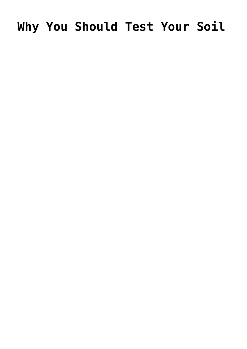# Why You Should Test Your Soil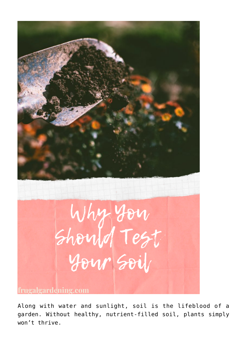

Along with water and sunlight, soil is the lifeblood of a garden. Without healthy, nutrient-filled soil, plants simply won't thrive.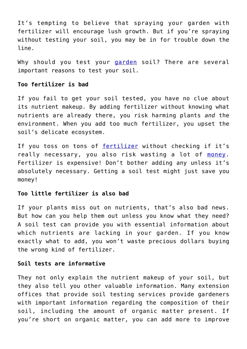It's tempting to believe that spraying your garden with fertilizer will encourage lush growth. But if you're spraying without testing your soil, you may be in for trouble down the line.

Why should you test your [garden](https://www.frugalgardening.com/free-worms.html) soil? There are several important reasons to test your soil.

### **Too fertilizer is bad**

If you fail to get your soil tested, you have no clue about its nutrient makeup. By adding fertilizer without knowing what nutrients are already there, you risk harming plants *and* the environment. When you add too much fertilizer, you upset the soil's delicate ecosystem.

If you toss on tons of [fertilizer](https://www.gardeners.com/how-to/fertilizer-ratios/5161.html) without checking if it's really necessary, you also risk wasting a lot of [money.](https://www.frugalgardening.com/seed-starting-with-recycled-materials.html) Fertilizer is expensive! Don't bother adding any unless it's absolutely necessary. Getting a soil test might just save you money!

### **Too little fertilizer is also bad**

If your plants miss out on nutrients, that's also bad news. But how can you help them out unless you know what they need? A soil test can provide you with essential information about which nutrients are lacking in your garden. If you know exactly what to add, you won't waste precious dollars buying the wrong kind of fertilizer.

#### **Soil tests are informative**

They not only explain the nutrient makeup of your soil, but they also tell you other valuable information. Many extension offices that provide soil testing services provide gardeners with important information regarding the composition of their soil, including the amount of organic matter present. If you're short on organic matter, you can add more to improve